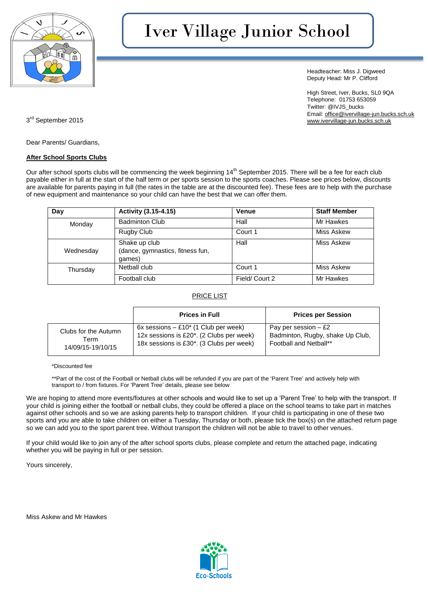

# Iver Village Junior School

Headteacher: Miss J. Digweed Deputy Head: Mr P. Clifford

High Street, Iver, Bucks, SL0 9QA Telephone: 01753 653059 Twitter: @IVJS\_bucks Email: [office@ivervillage-jun.bucks.sch.uk](mailto:office@ivervillage-jun.bucks.sch.uk) 3<sup>rd</sup> September 2015 [www.ivervillage-jun.bucks.sch.uk](http://www.ivervillage-jun.bucks.sch.uk/)

Dear Parents/ Guardians,

#### **After School Sports Clubs**

Our after school sports clubs will be commencing the week beginning 14<sup>th</sup> September 2015. There will be a fee for each club payable either in full at the start of the half term or per sports session to the sports coaches. Please see prices below, discounts are available for parents paying in full (the rates in the table are at the discounted fee). These fees are to help with the purchase of new equipment and maintenance so your child can have the best that we can offer them.

| Day       | Activity (3.15-4.15)                                        | <b>Venue</b>  | <b>Staff Member</b> |
|-----------|-------------------------------------------------------------|---------------|---------------------|
| Monday    | <b>Badminton Club</b>                                       | Hall          | Mr Hawkes           |
|           | Rugby Club                                                  | Court 1       | Miss Askew          |
| Wednesday | Shake up club<br>(dance, gymnastics, fitness fun,<br>qames) | Hall          | Miss Askew          |
| Thursday  | Netball club                                                | Court 1       | Miss Askew          |
|           | Football club                                               | Field/Court 2 | Mr Hawkes           |

#### PRICE LIST

|                      | <b>Prices in Full</b>                                 | <b>Prices per Session</b>        |
|----------------------|-------------------------------------------------------|----------------------------------|
| Clubs for the Autumn | $6x$ sessions $-$ £10 $*$ (1 Club per week)           | Pay per session $-$ £2           |
| Term                 | 12x sessions is £20 <sup>*</sup> . (2 Clubs per week) | Badminton, Rugby, shake Up Club, |
| 14/09/15-19/10/15    | 18x sessions is £30 <sup>*</sup> . (3 Clubs per week) | Football and Netball**           |

\*Discounted fee

\*\*Part of the cost of the Football or Netball clubs will be refunded if you are part of the 'Parent Tree' and actively help with transport to / from fixtures. For 'Parent Tree' details, please see below

We are hoping to attend more events/fixtures at other schools and would like to set up a 'Parent Tree' to help with the transport. If your child is joining either the football or netball clubs, they could be offered a place on the school teams to take part in matches against other schools and so we are asking parents help to transport children. If your child is participating in one of these two sports and you are able to take children on either a Tuesday, Thursday or both, please tick the box(s) on the attached return page so we can add you to the sport parent tree. Without transport the children will not be able to travel to other venues.

If your child would like to join any of the after school sports clubs, please complete and return the attached page, indicating whether you will be paying in full or per session.

Yours sincerely,

Miss Askew and Mr Hawkes